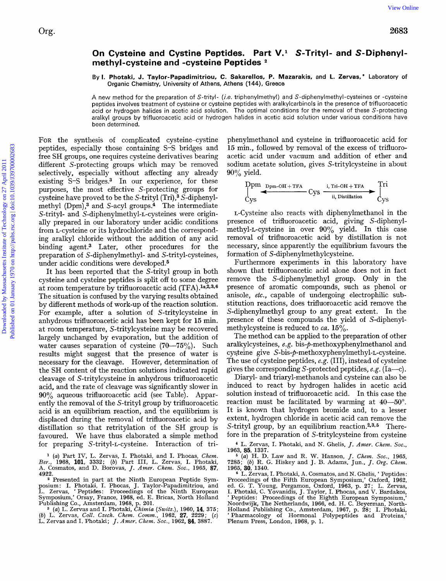Org.

## On Cysteine and Cystine Peptides. Part V.<sup>1</sup> S-Trityl- and S-Diphenyl**methyl-cysteine and -cysteine Peptides**

By **1. Photaki, J. Taylor-Papadimitriou, C. Sakarellos, P. Mazarakis,** and **L. Zervas,'** Laboratory **of**  Organic Chemistry, University **of** Athens, Athens **(1 44),** Greece

**A** new method for the preparation of S-trityl- *(i.e.* triphenylmethyl) and S-diphenylmethyl-cysteines or -cysteine peptides involves treatment of cysteine or cysteine peptides with aralkylcarbinols in the presence of trifluoroacetic acid or hydrogen halides in acetic acid solution. The optimal conditions for the removal of these S-protecting aralkyl groups by trifluoroacetic acid or hydrogen halides in acetic acid solution under various conditions have been determined.

FOR the synthesis of complicated cysteine-cystine peptides, especially those containing S-S bridges and free SH groups, one requires cysteine derivatives bearing different S-protecting groups which may be removed selectively, especially without affecting any already existing  $S-S$  bridges.<sup>3</sup> In our experience, for these purposes, the most effective S-protecting groups for cysteine have proved to be the S-trityl (Tri),3 S-diphenylmethyl (Dpm),<sup>3</sup> and S-acyl groups.<sup>4</sup> The intermediate S-trityl- and S-diphenylmethyl-L-cysteines were originally prepared in our laboratory under acidic conditions from L-cysteine or its hydrochloride and the corresponding aralkyl chloride without the addition of any acid binding agent.3 Later, other procedures for the preparation of S-diphenylmethyl- and S-trityl-cysteines, under acidic conditions were developed.<sup>5</sup> Org. Sometime and Cystine and Cystine Peptides. Part V.' S-Trityl- and S-Diphenyl-<br>
By L Photok J. Two-Papalintricin. C. Saterolde. P. Mararski, and L Zervas, "Labourov of Department of Technology of Technology of Technol

It has been reported that the S-trityl group in both cysteine and cysteine peptides is split off to some degree at room temperature by trifluoroacetic acid (TFA) **.1a,293s6**  The situation is confused by the varying results obtained by different methods of work-up of the reaction solution. For example, after a solution of S-tritylcysteine in anhydrous trifluoroacetic acid has been kept for **15** min. at room temperature, S-tritylcysteine may be recovered largely unchanged by evaporation, but the addition of water causes separation of cysteine  $(70-75\%)$ . Such results might suggest that the presence of water is necessary for the cleavage. However, determination of the SH content of the reaction solutions indicated rapid cleavage of S-tritylcysteine in anhydrous trifluoroacetic acid, and the rate of cleavage was significantly slower in **90%** aqueous trifluoroacetic acid (see Table). Apparently the removal of the S-trityl group by trifluoroacetic acid is an equilibrium reaction, and the equilibrium is displaced during the removal of trifluoroacetic acid by distillation *so* that retritylation of the SH group is favoured. We have thus elaborated a simple method for preparing S-trityl-L-cysteine. Interaction of tri-

phenylmethanol and cysteine in trifluoroacetic acid for **15** min., followed by removal of the excess of trifluoroacetic acid under vacuum and addition of ether and sodium acetate solution, gives S-tritylcysteine in about **90%** yield.

$$
\underset{\text{Cys}}{\text{Dpm}} \xrightarrow{\text{Dpm}-\text{OH}+\text{TFA}}} \text{Cys} \xrightarrow{\text{i, Tri}-\text{OH}+\text{TFA}} \underset{\text{Cys}}{\overset{\text{Ti}}{\text{I}}} \xrightarrow{\text{Tri}}
$$

L-Cysteine also reacts with diphenylmethanol in the presence of trifluoroacetic acid, giving S-diphenylmethyl-L-cysteine in over **90%** yield. In this case removal of trifluoroacetic acid by distillation is not necessary, since apparently the equilibrium favours the formation of S-diphenylmethylcysteine.

Furthermore experiments in this laboratory have shown that trifluoroacetic acid alone does not in fact remove the S-diphenylmethyl group. Only in the presence of aromatic compounds, such as phenol or anisole, *etc.,* capable of undergoing electrophilic substitution reactions, does trifluoroacetic acid remove the S-diphenylmethyl group to any great extent. In the presence of these compounds the yield of S-diphenylmethylcysteine is reduced to *ca*. 15%.

The method can be applied to the preparation of other aralkylcysteines,  $e.g.$  bis- $\phi$ -methoxyphenylmethanol and cysteine give S-bis-p-methoxyphenylmethyl-L-cysteine. The use of cysteine peptides, *e.g.* (111), instead of cysteine

gives the corresponding S-protected peptides, *e.g.* (Ia-c) . Diaryl- and triaryl-methanols and cysteine can also be induced to react by hydrogen halides in acetic acid solution instead of trifluoroacetic acid. In this case the reaction must be facilitated by warming at  $40-50^{\circ}$ . It is known that hydrogen bromide and, to a lesser extent, hydrogen chloride in acetic acid can remove the S-trityl group, by an equilibrium reaction. $2,3,5$  Therefore in the preparation of S-tritylcysteine from cysteine

\* **L.** Zervas, I. Photaki, and N. Ghelis, *J. Amer. Chem. SOL,* 

1963, **85,** 1337. *(a)* H. D. Law and R. W. Hanson, *J. Chem. Soc.,* 1965, 7285; (b) R. G. Hiskey and J. B. Adams, Jun., *J. Ovg. Chem.*  1965, **30,** 1340.

*<sup>(</sup>a)* Part IV, L. Zervas, I. Photaki, and I. Phocas, *Chem. Ber.,* 1968, 101, 3332; (b) Part 111, **L.** Zervas, I. Photaki, A. Cosmatos, and D. Borovas, *J. Amer. Chem. SOG.,* 1965, **87,**  4922.

<sup>&</sup>lt;sup>2</sup> Presented in part at the Ninth European Peptide Symposium: I. Photaki, I. Phocas, J. Taylor-Papadimitriou, and **L.** Zervas, ' Peptides: Proceedings of the Ninth European Symposium,' Orsay, France, 1968, ed. E. Bricas, North Holland Publishing Co., Amsterdam, 1968, p. 201. **<sup>3</sup>***(a)* **L.** Zervas and I. Photaki, *Chimia (Switz.),* 1960,14, 375;

<sup>(</sup>b) L. Zervas, *Coll. Czech. Chem. Comm.,* 1962, **27,** 2229; (c) L. Zervas and I. Photaki; *J. Amer. Chem. Soc.,* 1962,84, 3887.

<sup>&</sup>lt;sup>6</sup> L. Zervas, I. Photaki, A. Cosmatos, and N. Ghelis, ' Peptides: Proceedings of the Fifth European Symposium,' Oxford, 1962,<br>ed. G. T. Young, Pergamon, Oxford, 1963, p. 27; L. Zervas,<br>I. Photaki, C. Yovanidis, J. Taylor, I. Phocas, and V. Bardakos,<br>'Peptides: Proceedings of the Eighth E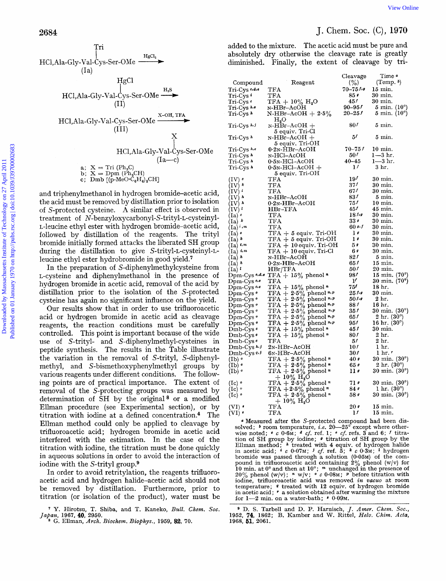

Our results show that in order to use trifluoroacetic acid or hydrogen bromide in acetic acid as cleavage reagents, the reaction conditions must be carefully controlled. This point is important because of the wide use of S-trityl- and **S-diphenylmethyl-cysteines** in peptide synthesis. The results in the Table illustrate the variation in the removal of S-trityl, S-diphenylmethyl, and S-bismethoxyphenylmethyl groups by various reagents under different conditions. The following points are of practical importance. The extent of removal of the S-protecting groups was measured by determination of SH by the original<sup>8</sup> or a modified Ellman procedure (see Experimental section), or by titration with iodine at a defined concentration. $4$  The Ellman method could only be applied to cleavage by trifluoroacetic acid; hydrogen bromide in acetic acid interfered with the estimation. In the case of the titration with iodine, the titration must be done quickly in aqueous solutions in order to avoid the interaction of iodine with the S-trityl group. $9$ 

In order to avoid retritylation, the reagents trifluoroacetic acid and hydrogen halide-acetic acid should not be removed by distillation. Furthermore, prior to titration (or isolation of the product), water must be

| 2684                                                               |                                                                                                                                                                        |                                                          |                          | J. Chem. Soc. $(C)$ , 1970                                       |
|--------------------------------------------------------------------|------------------------------------------------------------------------------------------------------------------------------------------------------------------------|----------------------------------------------------------|--------------------------|------------------------------------------------------------------|
| Tri<br>HgCl <sub>2</sub><br>HCl, Ala-Gly-Val-Cys-Ser-OMe -         | added to the mixture. The acetic acid must be pure and<br>absolutely dry otherwise the cleavage rate is greatly<br>diminished. Finally, the extent of cleavage by tri- |                                                          |                          |                                                                  |
| (Ia)                                                               |                                                                                                                                                                        |                                                          |                          |                                                                  |
| HgCl                                                               | Compound                                                                                                                                                               | Reagent                                                  | Cleavage<br>(%)          | Time "<br>$(Temp. \)$                                            |
| $H_{2}S$                                                           | $Tri-Cys$ $e.d.e$                                                                                                                                                      | TFA                                                      | $70 - 75$ for            | 15 min.                                                          |
| $HC1, Ala-Gly-Val-Cys-Ser-OMe \longrightarrow$                     | Tri-Cys •                                                                                                                                                              | TFA                                                      | 85 -                     | 30 min.                                                          |
| (II)                                                               | $Tri-Cys$                                                                                                                                                              | $TFA + 10\% H_2O$                                        | 45f                      | $30 \text{ min.}$                                                |
|                                                                    | Tri-Cys h.e<br>Tri-Cys »                                                                                                                                               | N-HBr–AcOH<br>$N-HBr-AcOH + 2.5%$                        | $90 - 95f$<br>$20 - 25f$ | $5 \text{ min. } (10^{\circ})$<br>$5 \text{ min. } (10^{\circ})$ |
| X-OH, TFA<br>HCl, Ala-Gly-Val-Cys-Ser-OMe-                         |                                                                                                                                                                        | H <sub>2</sub> O                                         |                          |                                                                  |
| (III)                                                              | Tri-Cys $h, j$                                                                                                                                                         | $N-HBr-ACOH +$                                           | 80 <sup>f</sup>          | $5 \text{ min.}$                                                 |
| Х                                                                  | Tri-Cys $h$                                                                                                                                                            | 5 equiv. Tri-Cl<br>$N-HBr-AcOH +$                        | 51                       | $5 \text{ min.}$                                                 |
|                                                                    |                                                                                                                                                                        | 5 equiv. Tri-OH                                          |                          |                                                                  |
| HCl, Ala-Gly-Val-Cys-Ser-OMe                                       | Tri-Cys h,e<br>$Tri-Cys$ <sup><math>\hbar</math></sup>                                                                                                                 | $0.2N-HBr-ACOH$<br>N-HCl–AcOH                            | $70 - 75f$<br>501        | $10 \text{ min}$ .<br>$1 - 3$ hr.                                |
| $(Ia-c)$                                                           | Tri-Cys $\lambda$                                                                                                                                                      | $0.5N-HCl-ACOH$                                          | $40 - 45$                | $1 - 3$ hr.                                                      |
| a; $X = Tri (Ph3C)$                                                | Tri-Cys »                                                                                                                                                              | $0.5N-HCl-ACOH +$                                        | $\mathbf{1}^f$           | 3 <sub>hr.</sub>                                                 |
| b; $X = Dpm$ ( $Ph2CH$ )                                           |                                                                                                                                                                        | 5 equiv. Tri-OH                                          | 19 <sup>f</sup>          |                                                                  |
| c; Dmb [(p-MeO $\cdot C_6H_4$ ) <sub>2</sub> CH]                   | (IV)<br>$(IV)$ $k$                                                                                                                                                     | $_{\rm TFA}$<br>TFA                                      | $37^f$                   | $30 \text{ min.}$<br>30 min.                                     |
| and triphenylmethanol in hydrogen bromide-acetic acid,             | $(IV)^{i}$                                                                                                                                                             | TFA                                                      | 67f                      | 30 min.                                                          |
| the acid must be removed by distillation prior to isolation        | $(IV)^h$                                                                                                                                                               | N-HBr-AcOH                                               | 831                      | $5 \text{ min.}$                                                 |
|                                                                    | $(IV)$ $\lambda$                                                                                                                                                       | $0.2N$ -HBr-AcOH                                         | 751<br>451               | $10 \text{ min.}$<br>45 min.                                     |
| of S-protected cysteine. A similar effect is observed in           | $(\mathrm{IV})^{\ l}$<br>$(Ia)$ $\circ$                                                                                                                                | $HBr-TFA$<br>TFA                                         | 18f                      | 30 min.                                                          |
| treatment of N-benzyloxycarbonyl-S-trityl-L-cysteinyl-             | $(Ia)^k$                                                                                                                                                               | TFA                                                      | 33 <sub>s</sub>          | 30 min.                                                          |
| L-leucine ethyl ester with hydrogen bromide-acetic acid,           | $(Ia)^{n}$                                                                                                                                                             | TFA                                                      | $60$ s.f                 | $30 \text{ min.}$                                                |
| followed by distillation of the reagents. The trityl               | (Ia) $\circ$<br>$(Ia)^k$                                                                                                                                               | $TFA + 5$ equiv. Tri-OH<br>$TFA + 5$ equiv. Tri-OH       | 10<br>$\mathbf{1}$       | $30 \text{ min.}$<br>$30 \text{ min.}$                           |
| bromide initially formed attacks the liberated SH group            | $(Ia)$ i.m                                                                                                                                                             | $TFA + 10$ equiv. Tri-OH                                 | 50                       | $30 \text{ min.}$                                                |
| during the distillation to give S-trityl-L-cysteinyl-L-            | $(Ia)$ i, m                                                                                                                                                            | $TFA + 10$ equiv. Tri-Cl                                 | 60                       | 30 min.                                                          |
| leucine ethyl ester hydrobromide in good yield. <sup>7</sup>       | $(Ia)$ $\lambda$<br>$(Ia)$ $\hbar$                                                                                                                                     | N-HBr-AcOH<br>$0.2N$ -HBr-AcOH                           | 821<br>651               | 5 min.<br>$15 \text{ min.}$                                      |
| In the preparation of S-diphenylmethylcysteine from                | $(Ia)$ <sup>l</sup>                                                                                                                                                    | HBr/TFA                                                  | 50 <sup>f</sup>          | 20 min.                                                          |
| L-cysteine and diphenylmethanol in the presence of                 | $Dpm-Cys$ $\circ$ , $d$ , $e$                                                                                                                                          | $TFA + 15\%$ phenol $*$                                  | 981                      | 15 min. $(70^{\circ})$                                           |
| hydrogen bromide in acetic acid, removal of the acid by            | $Dpm-Cys$ $\cdot \cdot$                                                                                                                                                | TFA                                                      | $\mathbf{r}'$            | $30 \text{ min.} (70^{\circ})$                                   |
| distillation prior to the isolation of the S-protected             | $Dpm-Cys$ $Gee$<br>$Dpm-Cys$ $\circ$                                                                                                                                   | TFA + $15\%$ phenol $n$<br>TFA + $2.5\%$ phenol $n, p$   | 751<br>$25$ for          | 18 <sub>hr.</sub><br>$30 \text{ min.}$                           |
| cysteine has again no significant influence on the yield.          | $Dpm-Cys$ <sup>o</sup>                                                                                                                                                 | TFA + $2.5\%$ phenol $n.p$                               | 50f                      | 2 hr.                                                            |
| Our results show that in order to use trifluoroacetic              | Dpm-Cys $\circ$                                                                                                                                                        | TFA + $2.5\%$ phenol $n.p$                               | 88 I                     | 16 hr.                                                           |
| acid or hydrogen bromide in acetic acid as cleavage                | Dpm-Cys $\circ$                                                                                                                                                        | TFA + $2.5\%$ phenol $n.p$<br>TFA + $2.5\%$ phenol $n.p$ | 35f<br>651               | $30 \text{ min.} (30^{\circ})$<br>$2 \text{ hr.} (30^{\circ})$   |
|                                                                    | Dpm-Cys o<br>$Dpm-Cys$                                                                                                                                                 | TFA + $2.5\%$ phenol $n.p$                               | 951                      | 16 hr. $(30^{\circ})$                                            |
| reagents, the reaction conditions must be carefully                | $Dmb-Cys$                                                                                                                                                              | $TFA + 15\%$ phenol <sup>n</sup>                         | 45 I                     | $30 \text{ min.}$                                                |
| controlled. This point is important because of the wide            | $Dmb-Cys$                                                                                                                                                              | TFA + $15\%$ phenol <sup>n</sup>                         | 80 s                     | 2 hr.                                                            |
| use of S-trityl- and S-diphenylmethyl-cysteines in                 | $Dmb-Cys$<br>Dmb-Cys $\frac{h}{j}$                                                                                                                                     | TFA<br>$2N-HBr-ACOH$                                     | 51<br>10 <sup>f</sup>    | 2 hr.<br>1 hr.                                                   |
| peptide synthesis. The results in the Table illustrate             | $Dmb-Cys$ 4.1                                                                                                                                                          | $6N-HBr-ACOH$                                            | 30f                      | $1hr$ .                                                          |
| the variation in the removal of S-trityl, S-diphenyl-              | $(1b)$ $\circ$                                                                                                                                                         | TFA + $2.5\%$ phenol $n$                                 | 40 s                     | $30 \,\mathrm{min.}$ ( $30^{\circ}$ )                            |
| methyl, and S-bismethoxyphenylmethyl groups by                     | $(1b)$ $\circ$                                                                                                                                                         | TFA + $2.5\%$ phenol "<br>TFA + $2.5\%$ phenol "         | 65 e                     | 2 hr. $(30^{\circ})$                                             |
| various reagents under different conditions. The follow-           | $(1b)$ $\circ$                                                                                                                                                         | $+10\%~\text{H}_2\text{O}$                               | $\mathbf{u}$             | $30 \text{ min.} (30^{\circ})$                                   |
| ing points are of practical importance. The extent of              | (Ic) $\circ$                                                                                                                                                           |                                                          | 71 s                     | $30 \,\mathrm{min.}$ ( $30^{\circ}$ )                            |
| removal of the S-protecting groups was measured by                 | $(Ic)$ $^o$                                                                                                                                                            | TFA + $2.5\%$ phenol n<br>TFA + $2.5\%$ phenol n         | 84 s                     | 1 hr. $(30^{\circ})$                                             |
| determination of SH by the original <sup>8</sup> or a modified     | $(Ic)$ $\circ$                                                                                                                                                         | TFA $+ 2.5\%$ phenol "                                   | 58 •                     | $30 \text{ min.} (30^{\circ})$                                   |
| Ellman procedure (see Experimental section), or by                 | $(VI)$ .                                                                                                                                                               | $+10\%~\text{H}_2\text{O}$<br>$_{\rm TFA}$               | 20 <sub>g</sub>          | $15 \text{ min}$ .                                               |
| titration with iodine at a defined concentration. <sup>4</sup> The | (VI)                                                                                                                                                                   | TFA                                                      | $\mathbf{I}^f$           | $15 \text{ min.}$                                                |
|                                                                    |                                                                                                                                                                        |                                                          |                          |                                                                  |

**a** Measured after the S-protected compound had been dissolved; *b* room temperature, *i.e.* **20-25"** except where otherwise noted; **C** c **0.6~; d** *cf.* ref. **1;** \* *cf.* refs. **3** and **6; f** titration of SH group by iodine;  $\bullet$  titration of SH group by the Ellman method;  $\bullet$  treated with 4 equiv. of hydrogen halide in acetic acid;  $\bullet$   $c$  0.07M;  $\bullet$  of ref. 5;  $\bullet$   $c$  0.3M;  $\bullet$  hydrogen bromide was passed through a solution **(0.05~)** of the com- pound in trifluoroacetic acid containing **2%** phenol (w/v) for **10** min. at  $0^{\circ}$  and then at  $10^{\circ}$ ; *n* unchanged in the presence of  $20\%$  phenol (w/v); *n* w/v; *c*  $c$  **0.08x**; *p* before titration with iodine, trifluoroacetic acid was removed *in vacuo* at room temperature;  $\epsilon$  treated with **12** equiv. of hydrogen bromide in acetic acid;  $\tau$  a solution obtained after warming the mixture for  $1-2$  min. on a water-bath;  $\cdot$  0.09 $\times$ .

*Y.* Hirotsu, T. Shiba, and T. Kaneko, *Bull. Chem.* Soc. *Ja#an,* **1967, 40, 2950.**  G. Ellman, *Arch. Biochem. Biophys.,* **1959, 82, 70.** 

<sup>&</sup>lt;sup>9</sup> D. S. Tarbell and D. P. Harnisch, *J. Amer. Chem. Soc.*, **1952, 74, 1862;** B. Kamber and W. Rittel, *Helv. Chim. Acta,*  **1968, 51, 2061.**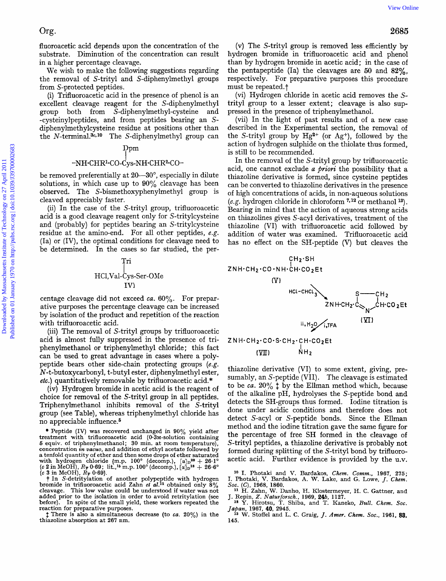fluoroacetic acid depends upon the concentration of the substrate. Diminution of the concentration can result in a higher percentage cleavage.

We wish to make the following suggestions regarding the removal of S-trityl and S-diphenylmethyl groups from S-protected peptides.

(i) Trifluoroacetic acid in the presence of phenol is an excellent cleavage reagent for the S-diphenylmethyl group both from S-diphenylmethyl-cysteine and -cysteinylpeptides, and from peptides bearing an Sdiphenylmethylcysteine residue at positions other than the  $N$ -terminal.<sup>3c,10</sup> The S-diphenylmethyl group can

## $_{\rm ppm}$

# -NH·CHR<sup>1</sup>·CO-C'ys-NH·CHR<sup>2</sup>·CO-

be removed preferentially at **20-30",** especially in dilute solutions, in which case up to **90%** cleavage has been observed. The S-bismethoxyphenylmethyl group is cleaved appreciably faster.

(ii) In the case of the S-trityl group, trifluoroacetic acid is a good cleavage reagent only for S-tritylcysteine and (probably) for peptides bearing an S-tritylcysteine residue at the amino-end. For all other peptides, *e.g.*  (Ia) or (IV), the optimal conditions for cleavage need to be determined. In the cases so far studied, the per-

# Tri I HC1,Val-Cys-Ser-OMe IVI

centage cleavage did not exceed *ca.* **60%.** For preparative purposes the percentage cleavage can be increased by isolation of the product and repetition of the reaction with trifluoroacetic acid.

(iii) The removal of S-trityl groups by trifluoroacetic acid is almost fully suppressed in the presence of triphenylmethanol or triphenylmethyl chloride ; this fact can be used to great advantage in cases where a polypeptide bears other side-chain protecting groups *(e.g.*  N-t-butoxycarbonyl, t-butyl ester, diphenylmethyl ester, *etc.)* quantitatively removable by trifluoroacetic acid.\*

(iv) Hydrogen bromide in acetic acid is the reagent of choice for removal of the S-trityl group in all peptides. Triphenylmethanol inhibits removal of the S-trityl group (see Table), whereas triphenylmethyl chloride has no appreciable influence.6

(c 2 in MeOH),  $R_F$  0.69; lit.,<sup>16</sup> m.p. 100<sup>o</sup> (decomp.),  $[\alpha]_D^{**} + 20.1^{\circ}$ <br>(c 2 in MeOH),  $R_F$  0.69; lit.,<sup>16</sup> m.p. 100<sup>o</sup> (decomp.),  $[\alpha]_D^{18} + 26.6^{\circ}$ <br>(c 3 in MeOH),  $R_F$  0.69}.<br>**+ In** S-detritylation of another added prior to the isolation in order to avoid retritylation (see before). In spite of the small yield, these workers repeated the reaction for preparative purposes.

\$ There is also **a** simultaneous decrease (to *ca.* **20%)** in the thiazoline absorption at **267** nm.

(v) The S-trityl group is removed less efficiently by hydrogen bromide in trifluoroacetic acid and phenol than by hydrogen bromide in acetic acid; in the case of the pentapeptide (Ia) the cleavages are *50* and **82%,**  respectively. For preparative purposes this procedure must be repeated.<sup>†</sup>

(vi) Hydrogen chloride in acetic acid removes the Strityl group to a lesser extent; cleavage is also suppressed in the presence of triphenylmethanol.

(vii) In the light of past results and of a new case described in the Experimental section, the removal of the S-trityl group by  $Hg^{2+}$  (or  $Ag^+$ ), followed by the action of hydrogen sulphide on the thiolate thus formed, is still to be recommended.

In the removal of the S-trityl group by trifluoroacetic acid, one cannot exclude *a priori* the possibility that a thiazoline derivative is formed, since cysteine peptides can be converted to thiazoline derivatives in the presence of high concentrations of acids, in non-aqueous solutions *(e.g.* hydrogen chloride in chloroform **',12** or methanol **13).**  Bearing in mind that the action of aqueous strong acids on thiazolines gives S-acyl derivatives, treatment of the thiazoline (VI) with trifluoroacetic acid followed by addition of water was examined. Trifluoroacetic acid has no effect on the SH-peptide (V) but cleaves the



 $NH<sub>2</sub>$  $(YI)$ 

thiazoline derivative (VI) to some extent, giving, presumably, an S-peptide (VII). The cleavage is estimated to be *ca.*  $20\%$  <sup> $\ddagger$ </sup> by the Ellman method which, because of the alkaline pH, hydrolyses the S-peptide bond and detects the SH-groups thus formed. Iodine titration is done under acidic conditions and therefore does not detect S-acyl or S-peptide bonds. Since the Ellman method and the iodine titration gave the same figure for the percentage of free SH formed in the cleavage of S-trityl peptides, a thiazoline derivative is probably not formed during splitting of the S-trityI bond by trifluoroacetic acid. Further evidence is provided by the u.v.

Peptide (IV) was recovered unchanged in **90%** yield after treatment with trifluoroacetic acid (O-S~-solution containing *6* equiv. of triphenylmethanol; **30** min. at room temperature), a tenfold quantity of ether and then some drops of ether saturated with hydrogen chloride {m.p. 100° (decomp.),  $[\alpha]_D^{20} + 26.1^{\circ}$ 

*lo* I. Photaki and V. Bardakos, *Chem. Comm.,* **1967, 275; I.** Photaki, **V.** Bardakos, **A. W.** Lake, and G. Lowe, *J. Chem.* 

*Soc.* **(C), 1968, 1860.** *l1* H. Zahn, **W.** Danho, H. Klostermeyer, H. C. Gattner, and J. Repin, *2. Naturforsch..* **1969,** *24b,* **1127.** *la Y.* Hirotsu, *T.* Shiba, and T. Kaneko, *Bull. Chem. SOC.* 

*Japan,* **1967, 40, 2945. W.** Stoffel and L. **C.** Graig, *J. Amer. Chem. Soc.,* **1961, 88,** 

**<sup>145.</sup>**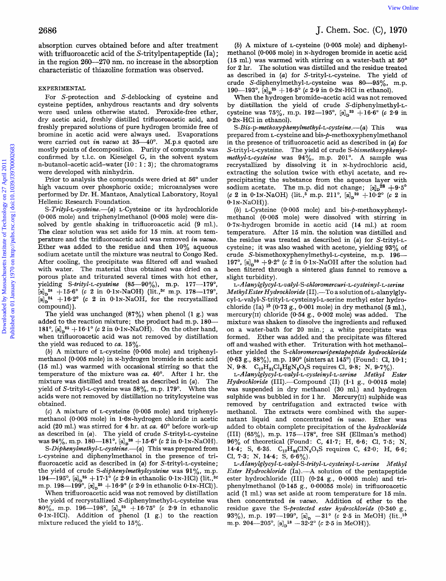absorption curves obtained before and after treatment with trifluoroacetic acid of the S-tritylpentapeptide (Ia); in the region **260-270** nm. no increase in the absorption characteristic of thiazoline formation was observed.

#### EXPERIMENTAL

For S-protection and S-deblocking of cysteine and cysteine peptides, anhydrous reactants and dry solvents were used unless otherwise stated. Peroxide-free ether, dry acetic acid, freshly distilled trifluoroacetic acid, and freshly prepared solutions of pure hydrogen bromide free of bromine in acetic acid were always used. Evaporations were carried out *in vacuo* at 35-40°. M.p.s quoted are mostly points of decomposition. Purity of compounds was confirmed by t.1.c. on Kieselgel G, in the solvent system n-butanol-acetic acid-water  $(10:1:3)$ ; the chromatograms were developed with ninhydrin.

Prior to analysis the compounds were dried at 56° under high vacuum over phosphoric oxide; microanalyses were performed by Dr. H. Mantzos, Analytical Laboratory, Royal Hellenic Research Foundation.

S-Trityl-L-cysteine. $-(a)$  L-Cysteine or its hydrochloride **(0-005** mole) and triphenylmethanol (0.005 mole) were dissolved by gentle shaking in trifluoroacetic acid (9 ml.). The clear solution was set aside for 15 min. at room temperature and the trifluoroacetic acid was removed *in vacwo.*  Ether was added to the residue and then 10% aqueous sodium acetate until the mixture was neutral to Congo Red. After cooling, the precipitate was filtered off and washed with water. The material thus obtained was dried on a porous plate and triturated several times with hot ether, yielding S-trityl-L-cysteine  $(85-90\%)$ , m.p.  $177-179^\circ$  $+15.6^{\circ}$  (c 2 in 0.1N-NaOH) {lit.,<sup>3c</sup> m.p. 178-179  $\alpha_{\overline{p}}^{24}$  +16.2° (c 2 in 0.1N-NaOH, for the recrystallized compound) }. 2086 User on the internal before and siler technoist. (a) A misdare of Levelands (the median of the median of the median of the median of the median of the median of the median of the median of the median of the median of

The yield was unchanged  $(87\%)$  when phenol  $(1 \text{ g.})$  was added to the reaction mixture; the product had m.p. 180-181°,  $\left[\alpha\right]_0^{25} + 16 \cdot 1^\circ$  (c 2 in 0.1N-NaOH). On the other hand, when trifluoroacetic acid was not removed by distillation the yield was reduced to *ca*. 15%.

(b) A mixture of L-cysteine (0.005 mole) and triphenylmethanol (0.005 mole) in N-hydrogen bromide in acetic acid (15 ml.) was warmed with occasional stirring so that the temperature of the mixture was *ca.* 40". After 1 hr. the mixture was distilled and treated as described in *(a).* The yield of S-trityl-L-cysteine was  $58\%$ , m.p. 179°. When the acids were not removed by distillation no tritylcysteine was obtained.

**(c)** A mixture of L-cysteine (0.005 mole) and triphenylmethanol (0.005 mole) in  $1.6N$ -hydrogen chloride in acetic acid (20 ml.) was stirred for **4** hr. at *ca.* 40" before work-up as described in *(a).* The yield of crude S-trityl-L-cysteine was  $94\%$ , m.p.  $180-181^{\circ}$ ,  $\left[\alpha\right]_0^{28} + 15^{\circ}6^{\circ}$  (c 2 in 0·1N-NaOH).

*S-Diphenylmethyl-L-cysteine.*--(*a*) This was prepared from L-cysteine and diphenylmethanol in the presence of trifluoroacetic acid as described in *(a)* for S-trityl-L-cysteine; the yield of crude *S-diphenylmethylcysteine* was  $91\%$ , m.p. 194-195°,  $[\alpha]_0^{25} + 17.1$ ° (c 2.9 in ethanolic 0.1N-HCl) {lit.,<sup>3c</sup> m.p. 198—199<sup>°</sup>,  $[\alpha]_D^{25} + 16.9^{\circ}$  *(c* 2.9 in ethanolic 0.1N-HCl)}.

When trifluoroacetic acid was not removed by distillation the yield of recrystallized **S-diphenylmethyl-L-cysteine** was 80%, m.p. 196-198°,  $\left[\alpha\right]_D^{23} + 16.75$ ° (c 2.9 in ethanolic  $0.1N-HCl$ ). Addition of phenol  $(1 g.)$  to the reaction mixture reduced the yield to 15%.

# J. Chem. **SOC.** (C), **1970**

*(b)* **A** mixture of L-cysteine **(0.005** mole) and diphenylmethanol (0.005 mole) in N-hydrogen bromide in acetic acid (15 ml.) was warmed with stirring on a water-bath at *50"*  for 2 hr. The solution was distilled and the residue treated as described in *(a)* for S-trityl-L-cysteine. The yield of crude S-diphenylmethyl-L-cysteine was 80-95%, m.p. 190-193°,  $\left[\alpha\right]_n^{25} + 16.5^\circ$  (c 2.9 in 0.2N-HCl in ethanol).

When the hydrogen bromide-acetic acid was not removed by distillation the yield of crude S-diphenylmethyl-Lcysteine was 75%, m.p. 192-195°, [a]<sub>n</sub><sup>23</sup> +16.6° (c 2.9 in  $0.2N-HCl$  in ethanol).

S-Bis-p-methoxyphenylmethyl-L-cysteine.--(a) This was prepared from L-cysteine and bis-p-methoxyphenylmethanol in the presence of trifluoroacetic acid as described in *(a)* for S-trityl-L-cysteine. The yield of crude S-bismethoxyphenylmethyl-L-cysteine was  $94\%$ , m.p.  $201^\circ$ . A sample was recrystallized by dissolving it in N-hydrochloric acid, extracting the solution twice with ethyl acetate, and reprecipitating the substance from the aqueous layer with sodium acetate. The m.p. did not change;  $[\alpha]_D^{28} + 9.5^\circ$ (c 2 in 0.1N-NaOH) {lit.,<sup>5</sup> m.p. 211°,  $[\alpha]_n^{20} +10.2$ ° (c 2 in *0.* lN-NaOH)}.

(b) L-Cysteine (0.005 mole) and bis-p-methoxyphenylmethanol (0.005 mole) were dissolved with stirring in 0.7N-hydrogen bromide in acetic acid (14 ml.) at room temperature. After 15 min. the solution was distilled and the residue was treated as described in *(a)* for S-trityl-Lcysteine; it was also washed with acetone, yielding 93% of crude **S-bismethoxyphenylmethyl-L-cysteine,** m.p. 196- 197°,  $\left[\alpha\right]_n^{30}+9.2^\circ$  (c 2 in 0.1N-NaOH after the solution had been filtered through a sintered glass funnel to remove **a**  slight turbidity).

L-Alanylglycyl-L-valyl-S-chloromercuri-L-cysteinyl-L-serine Methyl Ester Hydrochloride (II). - To a solution of L-alanylgly**cyl-1;-valyl-S-trityl-L-cysteinyl-L-serine** methyl ester hydrochloride (Ia) lb (0.73 g., 0.001 mole) in dry methanol *(5* ml.), mercury(I1) chloride **(0.54** g., 0-002 mole) was added. The mixture was shaken to dissolve the ingredients and refluxed on a water-bath for 20 min.; a white precipitate was formed. Ether was added and the precipitate was filtered off and washed with ether. Trituration with hot methanolether yielded the *S-chloromercuripentapeptide* hydrochloride (0.63 *g.,* **88%),** m.p. 190" (sinters at 145") (Found: C1, 10.1; N, 9.8.  $C_{17}H_{31}Cl_2HgN_5O_7S$  requires Cl, 9.8; N, 9.7%).

*~-Alanylglycyl-~-valyL~-cysteinyl-~-se~ine* Methyl Ester Hydrochloride (III).--Compound (II) (1.1 g., 0.0015 mole) was suspended in dry methanol (30 ml.) and hydrogen sulphide was bubbled in for  $1$  hr. Mercury(II) sulphide was removed by centrifugation and extracted twice with methanol. The extracts were combined with the supernatant liquid and concentrated *in vacuo.* Ether was added to obtain complete precipitation of the hydrochloride (III)  $(65\%)$ , m.p. 175--178°, free SH (Ellman's method) 96% of theoretical (Found: C, 41.7; H, 6-6; C1, 7-5; N, 14.4; *S,* 6.35. C,,H3,C1N50,S requires **C,** 42.0; H, 6-6; **C1,** 7-3; N, **14.4;** S, 6.6%).

 $L$ -Alanylglycyl-L-valyl-S-trityl-L-cysteinyl-L-serine Methyl Ester Hydrochloride (Ia) .- A solution of the pentapeptide ester hydrochloride (111) (0.24 g., 0.0005 mole) and **tri**phenylmethanol (0.145 g., 0-00055 mole) in trifluoroacetic acid (1 ml.) was set aside at room temperature for 15 min. then concentrated *in uacuo.* Addition of ether to the residue gave the S-protected ester hydrochloride (0.340 g., 93%), m.p. 197-199°,  $[\alpha]_p = 31^\circ$  *(c* 2.5 in MeOH) {lit.,<sup>1b</sup> m.p. 204-205°,  $\alpha_n^{18}$  -32.2° (c 2.5 in MeOH)}.